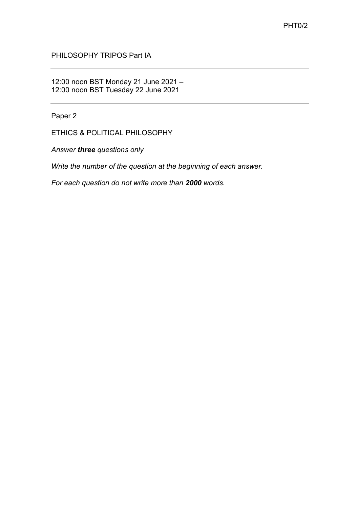PHILOSOPHY TRIPOS Part IA

12:00 noon BST Monday 21 June 2021 – 12:00 noon BST Tuesday 22 June 2021

Paper 2

ETHICS & POLITICAL PHILOSOPHY

*Answer three questions only*

*Write the number of the question at the beginning of each answer.* 

*For each question do not write more than 2000 words.*